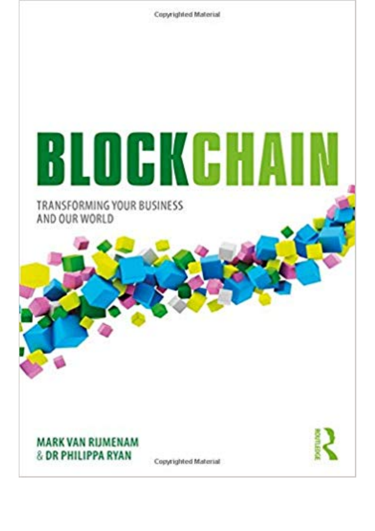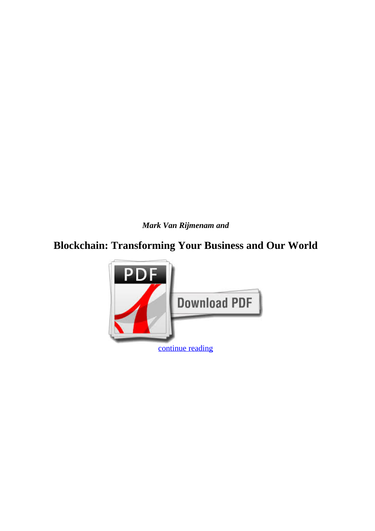*Mark Van Rijmenam and*

## **Blockchain: Transforming Your Business and Our World**

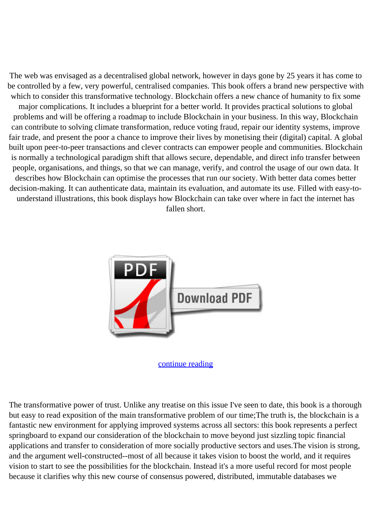The web was envisaged as a decentralised global network, however in days gone by 25 years it has come to be controlled by a few, very powerful, centralised companies. This book offers a brand new perspective with which to consider this transformative technology. Blockchain offers a new chance of humanity to fix some major complications. It includes a blueprint for a better world. It provides practical solutions to global problems and will be offering a roadmap to include Blockchain in your business. In this way, Blockchain can contribute to solving climate transformation, reduce voting fraud, repair our identity systems, improve fair trade, and present the poor a chance to improve their lives by monetising their (digital) capital. A global built upon peer-to-peer transactions and clever contracts can empower people and communities. Blockchain is normally a technological paradigm shift that allows secure, dependable, and direct info transfer between people, organisations, and things, so that we can manage, verify, and control the usage of our own data. It describes how Blockchain can optimise the processes that run our society. With better data comes better decision-making. It can authenticate data, maintain its evaluation, and automate its use. Filled with easy-tounderstand illustrations, this book displays how Blockchain can take over where in fact the internet has fallen short.



## [continue reading](http://bit.ly/2Tge8Fv)

The transformative power of trust. Unlike any treatise on this issue I've seen to date, this book is a thorough but easy to read exposition of the main transformative problem of our time;The truth is, the blockchain is a fantastic new environment for applying improved systems across all sectors: this book represents a perfect springboard to expand our consideration of the blockchain to move beyond just sizzling topic financial applications and transfer to consideration of more socially productive sectors and uses.The vision is strong, and the argument well-constructed--most of all because it takes vision to boost the world, and it requires vision to start to see the possibilities for the blockchain. Instead it's a more useful record for most people because it clarifies why this new course of consensus powered, distributed, immutable databases we